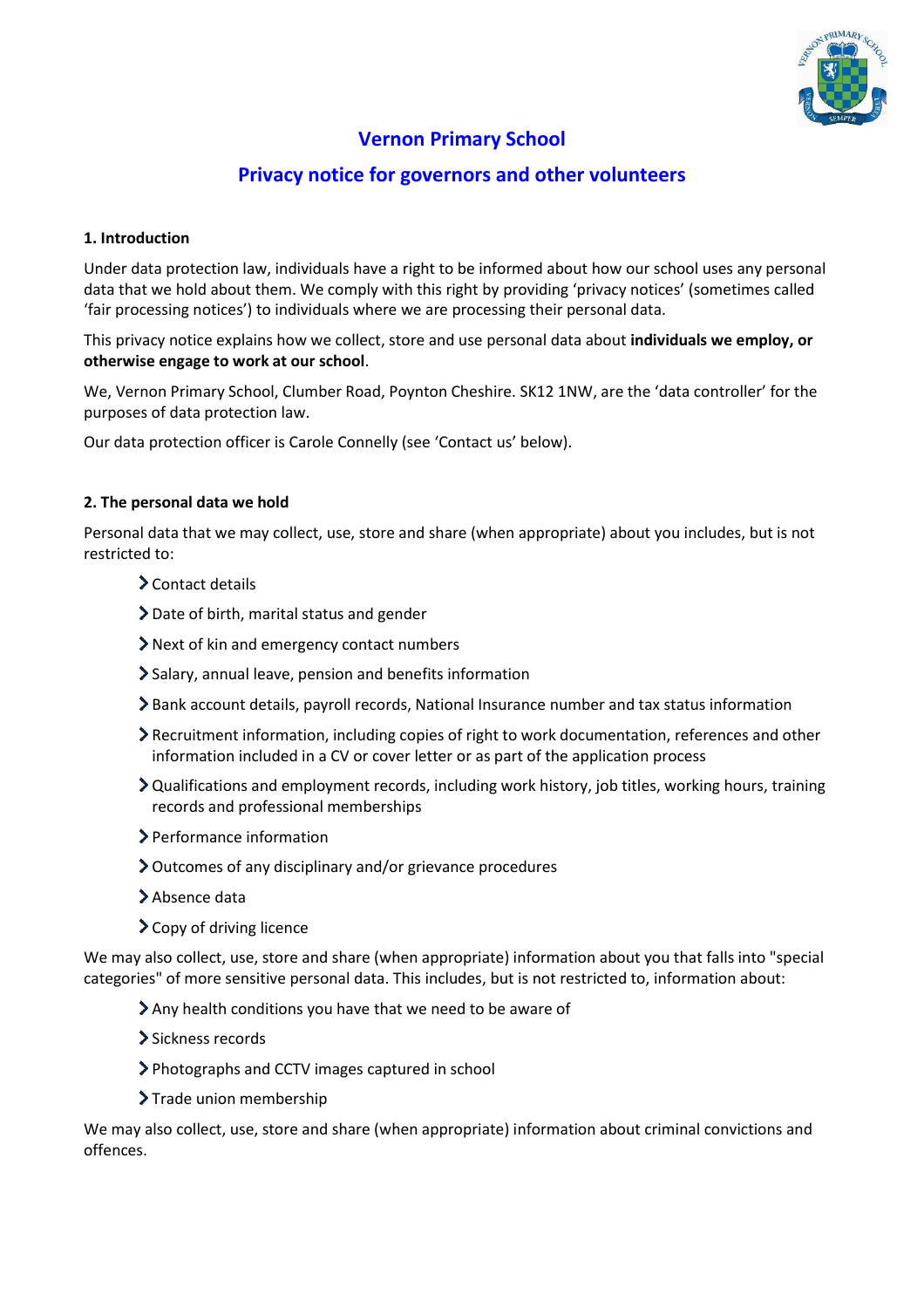

# **Vernon Primary School**

## **Privacy notice for governors and other volunteers**

## **1. Introduction**

Under data protection law, individuals have a right to be informed about how our school uses any personal data that we hold about them. We comply with this right by providing 'privacy notices' (sometimes called 'fair processing notices') to individuals where we are processing their personal data.

This privacy notice explains how we collect, store and use personal data about **individuals we employ, or otherwise engage to work at our school**.

We, Vernon Primary School, Clumber Road, Poynton Cheshire. SK12 1NW, are the 'data controller' for the purposes of data protection law.

Our data protection officer is Carole Connelly (see 'Contact us' below).

## **2. The personal data we hold**

Personal data that we may collect, use, store and share (when appropriate) about you includes, but is not restricted to:

- Contact details
- Date of birth, marital status and gender
- Next of kin and emergency contact numbers
- Salary, annual leave, pension and benefits information
- Bank account details, payroll records, National Insurance number and tax status information
- Recruitment information, including copies of right to work documentation, references and other information included in a CV or cover letter or as part of the application process
- Qualifications and employment records, including work history, job titles, working hours, training records and professional memberships
- Performance information
- Outcomes of any disciplinary and/or grievance procedures
- > Absence data
- > Copy of driving licence

We may also collect, use, store and share (when appropriate) information about you that falls into "special categories" of more sensitive personal data. This includes, but is not restricted to, information about:

- Any health conditions you have that we need to be aware of
- > Sickness records
- Photographs and CCTV images captured in school
- > Trade union membership

We may also collect, use, store and share (when appropriate) information about criminal convictions and offences.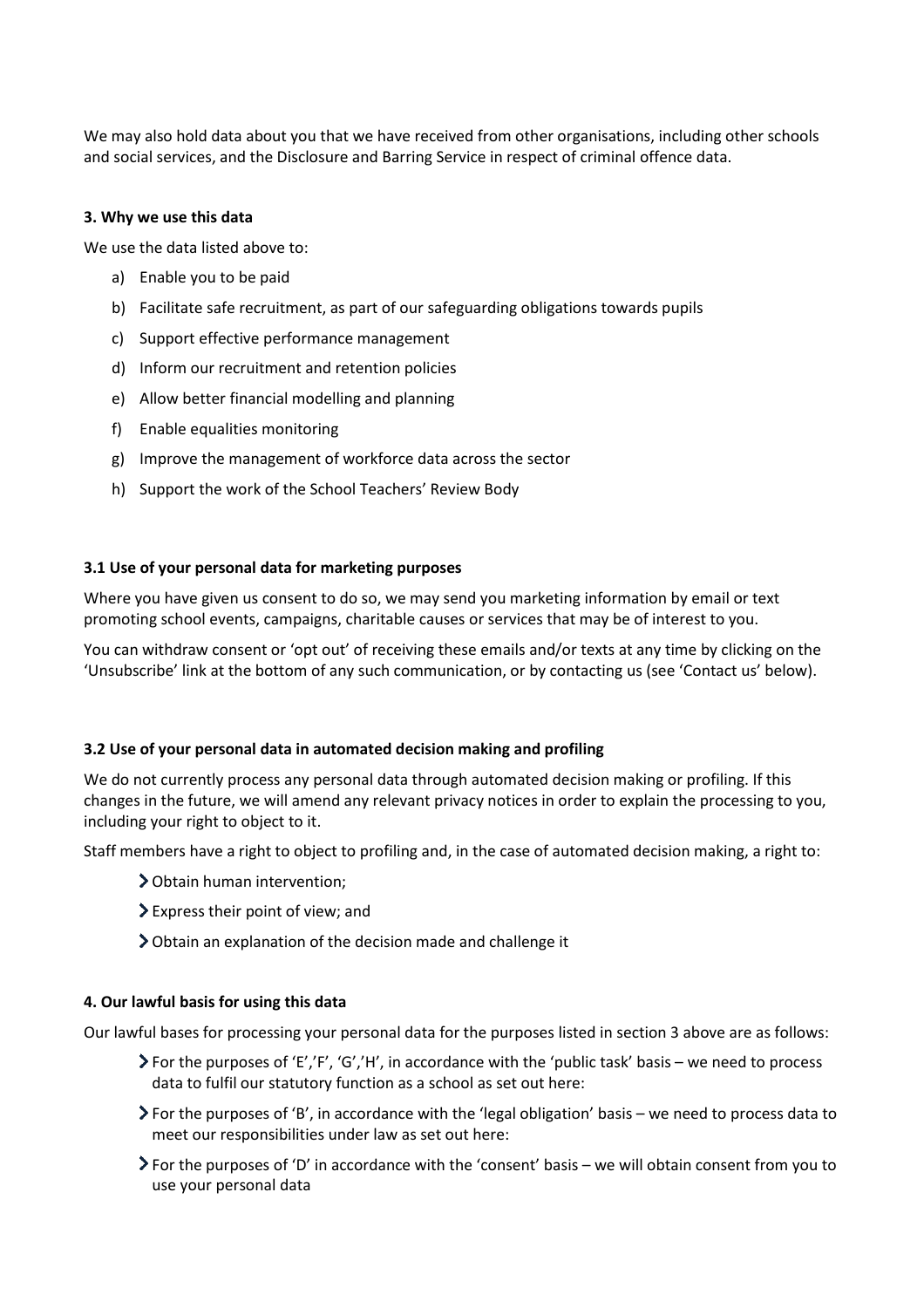We may also hold data about you that we have received from other organisations, including other schools and social services, and the Disclosure and Barring Service in respect of criminal offence data.

#### **3. Why we use this data**

We use the data listed above to:

- a) Enable you to be paid
- b) Facilitate safe recruitment, as part of our safeguarding obligations towards pupils
- c) Support effective performance management
- d) Inform our recruitment and retention policies
- e) Allow better financial modelling and planning
- f) Enable equalities monitoring
- g) Improve the management of workforce data across the sector
- h) Support the work of the School Teachers' Review Body

#### **3.1 Use of your personal data for marketing purposes**

Where you have given us consent to do so, we may send you marketing information by email or text promoting school events, campaigns, charitable causes or services that may be of interest to you.

You can withdraw consent or 'opt out' of receiving these emails and/or texts at any time by clicking on the 'Unsubscribe' link at the bottom of any such communication, or by contacting us (see 'Contact us' below).

#### **3.2 Use of your personal data in automated decision making and profiling**

We do not currently process any personal data through automated decision making or profiling. If this changes in the future, we will amend any relevant privacy notices in order to explain the processing to you, including your right to object to it.

Staff members have a right to object to profiling and, in the case of automated decision making, a right to:

- Obtain human intervention;
- Express their point of view; and
- Obtain an explanation of the decision made and challenge it

#### **4. Our lawful basis for using this data**

Our lawful bases for processing your personal data for the purposes listed in section 3 above are as follows:

- For the purposes of 'E','F', 'G','H', in accordance with the 'public task' basis we need to process data to fulfil our statutory function as a school as set out here:
- For the purposes of 'B', in accordance with the 'legal obligation' basis we need to process data to meet our responsibilities under law as set out here:
- For the purposes of 'D' in accordance with the 'consent' basis we will obtain consent from you to use your personal data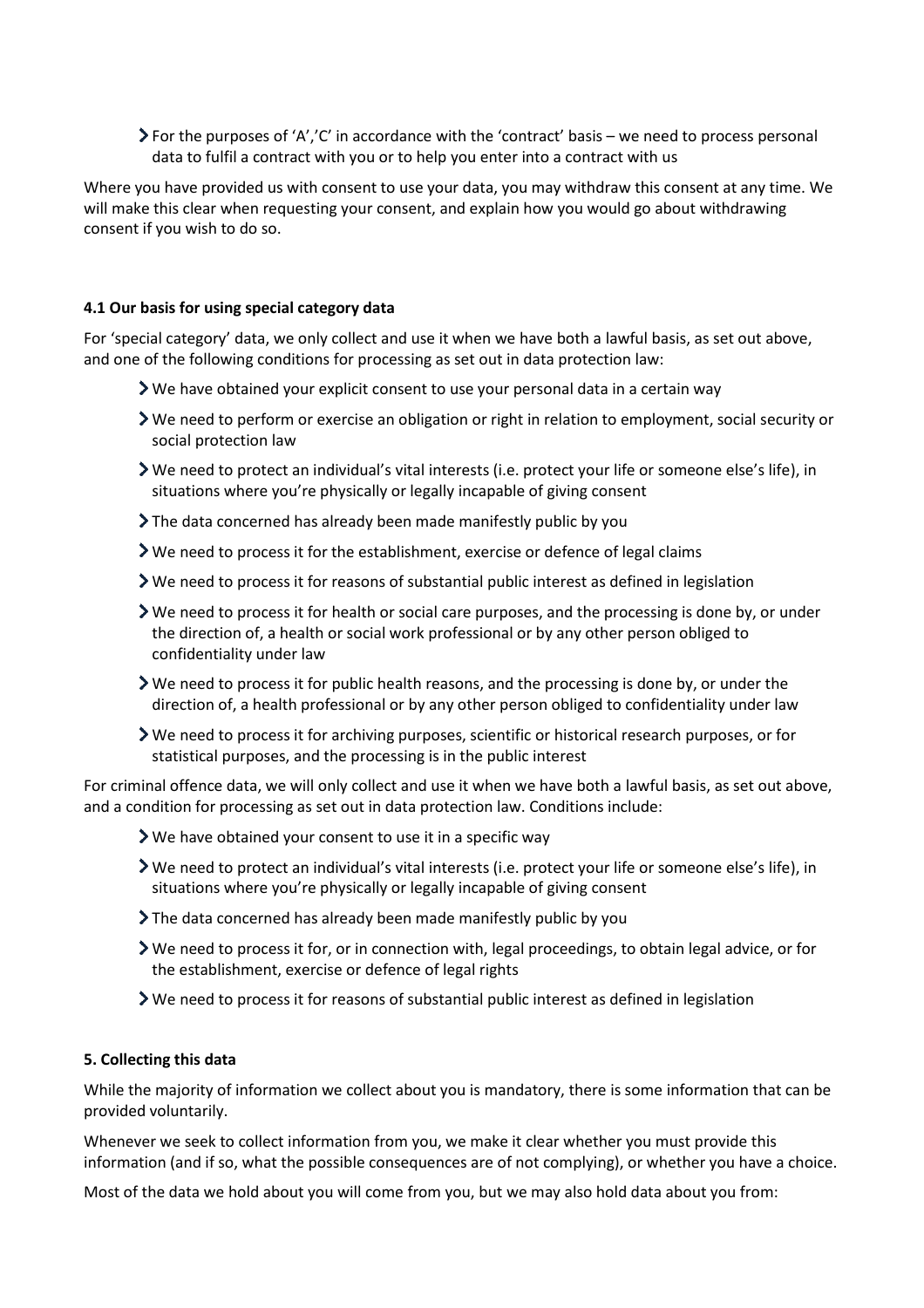For the purposes of 'A','C' in accordance with the 'contract' basis – we need to process personal data to fulfil a contract with you or to help you enter into a contract with us

Where you have provided us with consent to use your data, you may withdraw this consent at any time. We will make this clear when requesting your consent, and explain how you would go about withdrawing consent if you wish to do so.

### **4.1 Our basis for using special category data**

For 'special category' data, we only collect and use it when we have both a lawful basis, as set out above, and one of the following conditions for processing as set out in data protection law:

- We have obtained your explicit consent to use your personal data in a certain way
- We need to perform or exercise an obligation or right in relation to employment, social security or social protection law
- We need to protect an individual's vital interests (i.e. protect your life or someone else's life), in situations where you're physically or legally incapable of giving consent
- The data concerned has already been made manifestly public by you
- We need to process it for the establishment, exercise or defence of legal claims
- We need to process it for reasons of substantial public interest as defined in legislation
- We need to process it for health or social care purposes, and the processing is done by, or under the direction of, a health or social work professional or by any other person obliged to confidentiality under law
- $\triangleright$  We need to process it for public health reasons, and the processing is done by, or under the direction of, a health professional or by any other person obliged to confidentiality under law
- We need to process it for archiving purposes, scientific or historical research purposes, or for statistical purposes, and the processing is in the public interest

For criminal offence data, we will only collect and use it when we have both a lawful basis, as set out above, and a condition for processing as set out in data protection law. Conditions include:

- We have obtained your consent to use it in a specific way
- We need to protect an individual's vital interests (i.e. protect your life or someone else's life), in situations where you're physically or legally incapable of giving consent
- $\sum$  The data concerned has already been made manifestly public by you
- We need to process it for, or in connection with, legal proceedings, to obtain legal advice, or for the establishment, exercise or defence of legal rights
- $\triangleright$  We need to process it for reasons of substantial public interest as defined in legislation

#### **5. Collecting this data**

While the majority of information we collect about you is mandatory, there is some information that can be provided voluntarily.

Whenever we seek to collect information from you, we make it clear whether you must provide this information (and if so, what the possible consequences are of not complying), or whether you have a choice.

Most of the data we hold about you will come from you, but we may also hold data about you from: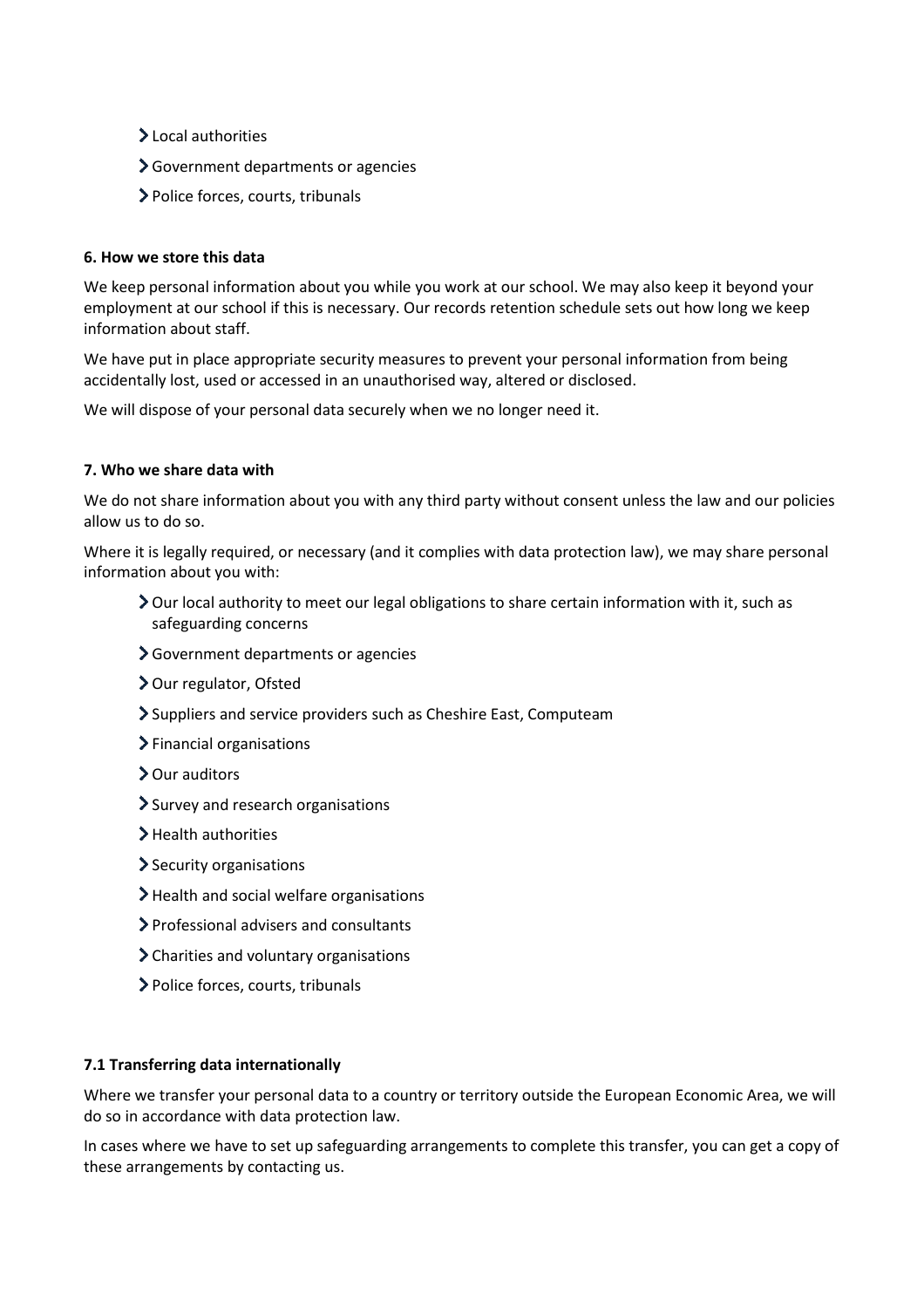- >Local authorities
- Government departments or agencies
- Police forces, courts, tribunals

#### **6. How we store this data**

We keep personal information about you while you work at our school. We may also keep it beyond your employment at our school if this is necessary. Our records retention schedule sets out how long we keep information about staff.

We have put in place appropriate security measures to prevent your personal information from being accidentally lost, used or accessed in an unauthorised way, altered or disclosed.

We will dispose of your personal data securely when we no longer need it.

#### **7. Who we share data with**

We do not share information about you with any third party without consent unless the law and our policies allow us to do so.

Where it is legally required, or necessary (and it complies with data protection law), we may share personal information about you with:

- Our local authority to meet our legal obligations to share certain information with it, such as safeguarding concerns
- Government departments or agencies
- > Our regulator, Ofsted
- Suppliers and service providers such as Cheshire East, Computeam
- > Financial organisations
- > Our auditors
- Survey and research organisations
- > Health authorities
- $\blacktriangleright$  Security organisations
- > Health and social welfare organisations
- Professional advisers and consultants
- Charities and voluntary organisations
- Police forces, courts, tribunals

## **7.1 Transferring data internationally**

Where we transfer your personal data to a country or territory outside the European Economic Area, we will do so in accordance with data protection law.

In cases where we have to set up safeguarding arrangements to complete this transfer, you can get a copy of these arrangements by contacting us.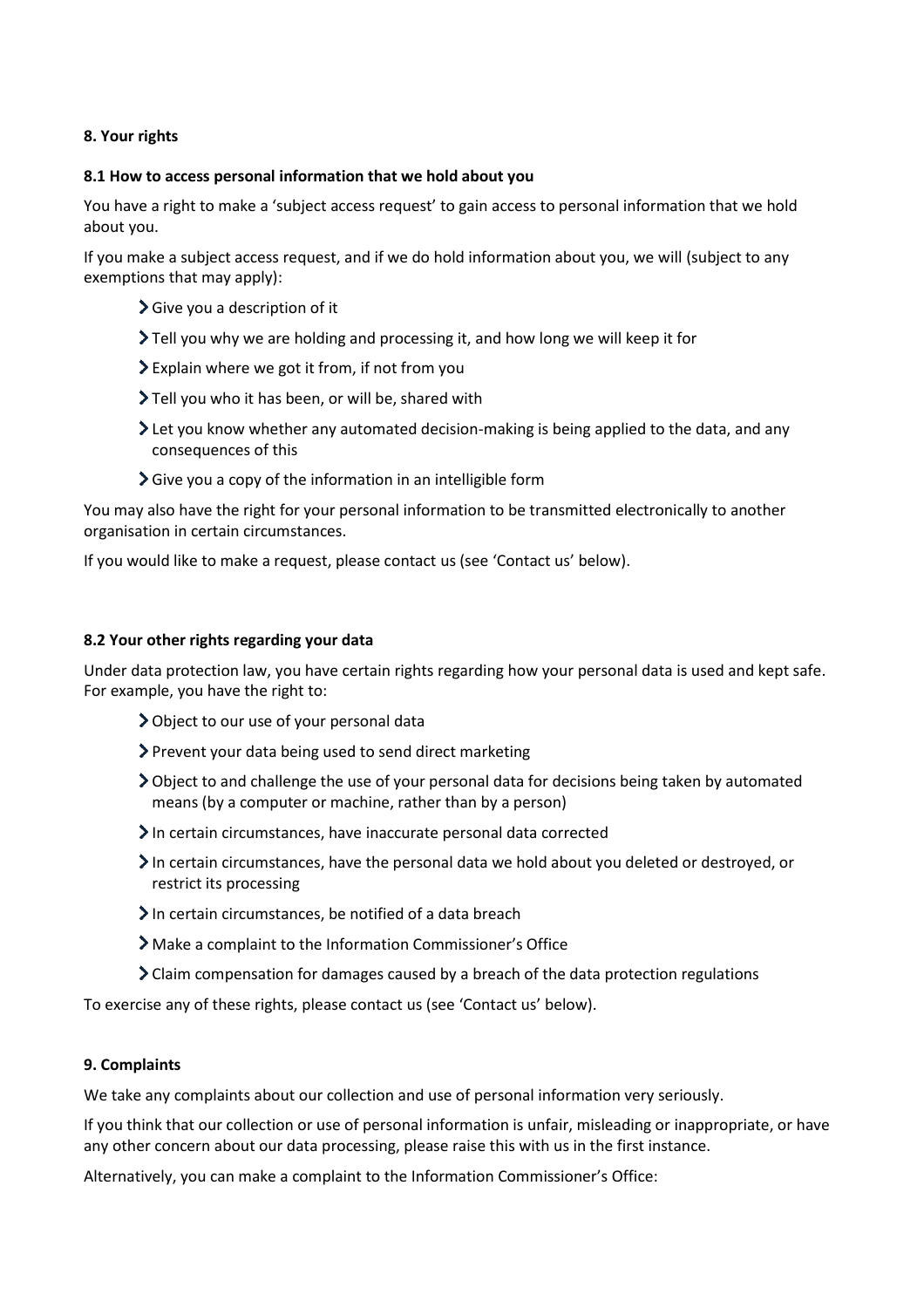## **8. Your rights**

#### **8.1 How to access personal information that we hold about you**

You have a right to make a 'subject access request' to gain access to personal information that we hold about you.

If you make a subject access request, and if we do hold information about you, we will (subject to any exemptions that may apply):

- Give you a description of it
- Tell you why we are holding and processing it, and how long we will keep it for
- Explain where we got it from, if not from you
- Tell you who it has been, or will be, shared with
- Let you know whether any automated decision-making is being applied to the data, and any consequences of this
- $\sum$  Give you a copy of the information in an intelligible form

You may also have the right for your personal information to be transmitted electronically to another organisation in certain circumstances.

If you would like to make a request, please contact us (see 'Contact us' below).

#### **8.2 Your other rights regarding your data**

Under data protection law, you have certain rights regarding how your personal data is used and kept safe. For example, you have the right to:

- Object to our use of your personal data
- > Prevent your data being used to send direct marketing
- Object to and challenge the use of your personal data for decisions being taken by automated means (by a computer or machine, rather than by a person)
- In certain circumstances, have inaccurate personal data corrected
- In certain circumstances, have the personal data we hold about you deleted or destroyed, or restrict its processing
- $\sum$  In certain circumstances, be notified of a data breach
- Make a complaint to the Information Commissioner's Office
- $\sum$  Claim compensation for damages caused by a breach of the data protection regulations

To exercise any of these rights, please contact us (see 'Contact us' below).

#### **9. Complaints**

We take any complaints about our collection and use of personal information very seriously.

If you think that our collection or use of personal information is unfair, misleading or inappropriate, or have any other concern about our data processing, please raise this with us in the first instance.

Alternatively, you can make a complaint to the Information Commissioner's Office: